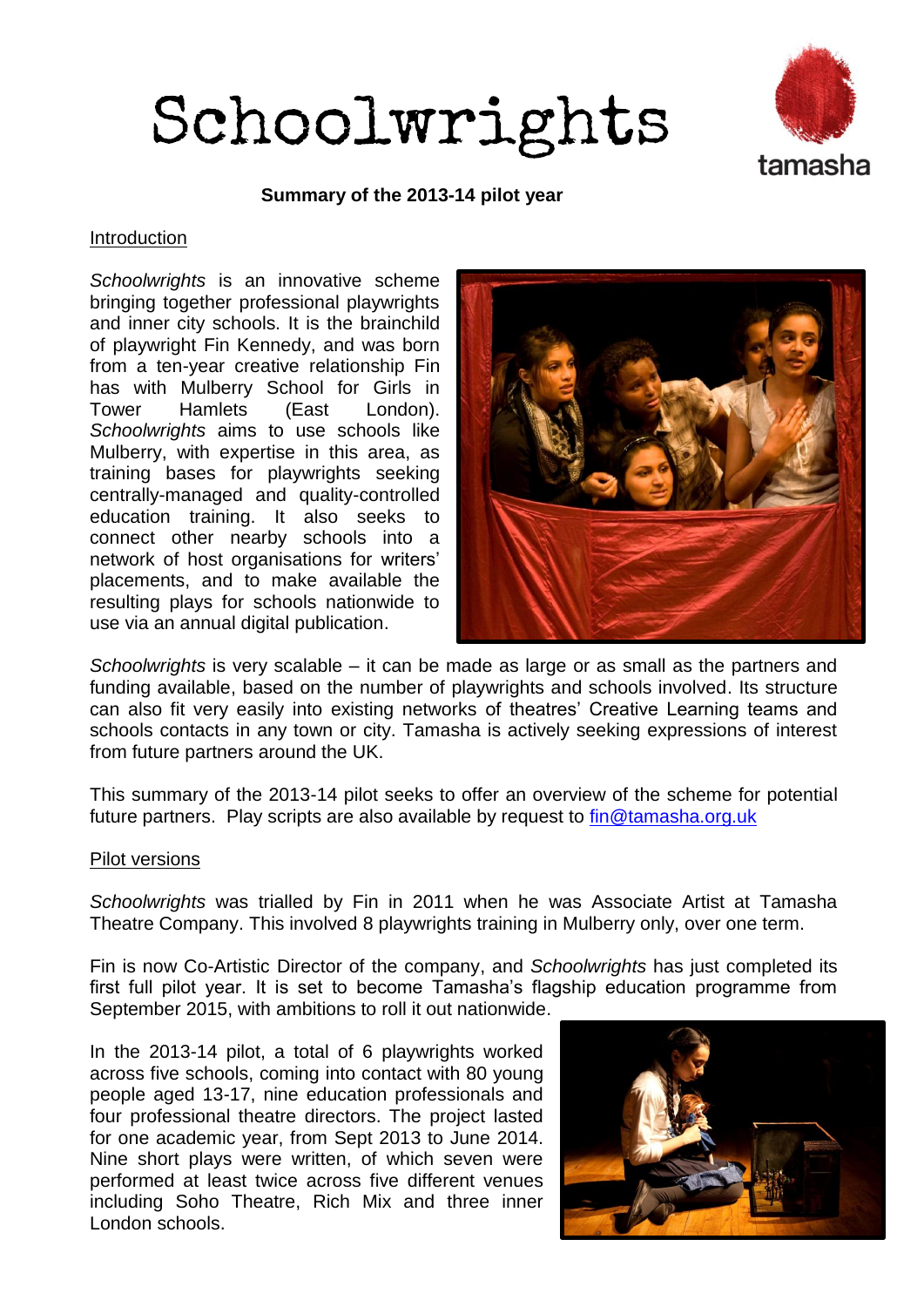



**Summary of the 2013-14 pilot year**

#### Introduction

*Schoolwrights* is an innovative scheme bringing together professional playwrights and inner city schools. It is the brainchild of playwright Fin Kennedy, and was born from a ten-year creative relationship Fin has with Mulberry School for Girls in Tower Hamlets (East London). *Schoolwrights* aims to use schools like Mulberry, with expertise in this area, as training bases for playwrights seeking centrally-managed and quality-controlled education training. It also seeks to connect other nearby schools into a network of host organisations for writers' placements, and to make available the resulting plays for schools nationwide to use via an annual digital publication.



*Schoolwrights* is very scalable – it can be made as large or as small as the partners and funding available, based on the number of playwrights and schools involved. Its structure can also fit very easily into existing networks of theatres' Creative Learning teams and schools contacts in any town or city. Tamasha is actively seeking expressions of interest from future partners around the UK.

This summary of the 2013-14 pilot seeks to offer an overview of the scheme for potential future partners. Play scripts are also available by request to *fin@tamasha.org.uk* 

#### Pilot versions

*Schoolwrights* was trialled by Fin in 2011 when he was Associate Artist at Tamasha Theatre Company. This involved 8 playwrights training in Mulberry only, over one term.

Fin is now Co-Artistic Director of the company, and *Schoolwrights* has just completed its first full pilot year. It is set to become Tamasha's flagship education programme from September 2015, with ambitions to roll it out nationwide.

In the 2013-14 pilot, a total of 6 playwrights worked across five schools, coming into contact with 80 young people aged 13-17, nine education professionals and four professional theatre directors. The project lasted for one academic year, from Sept 2013 to June 2014. Nine short plays were written, of which seven were performed at least twice across five different venues including Soho Theatre, Rich Mix and three inner London schools.

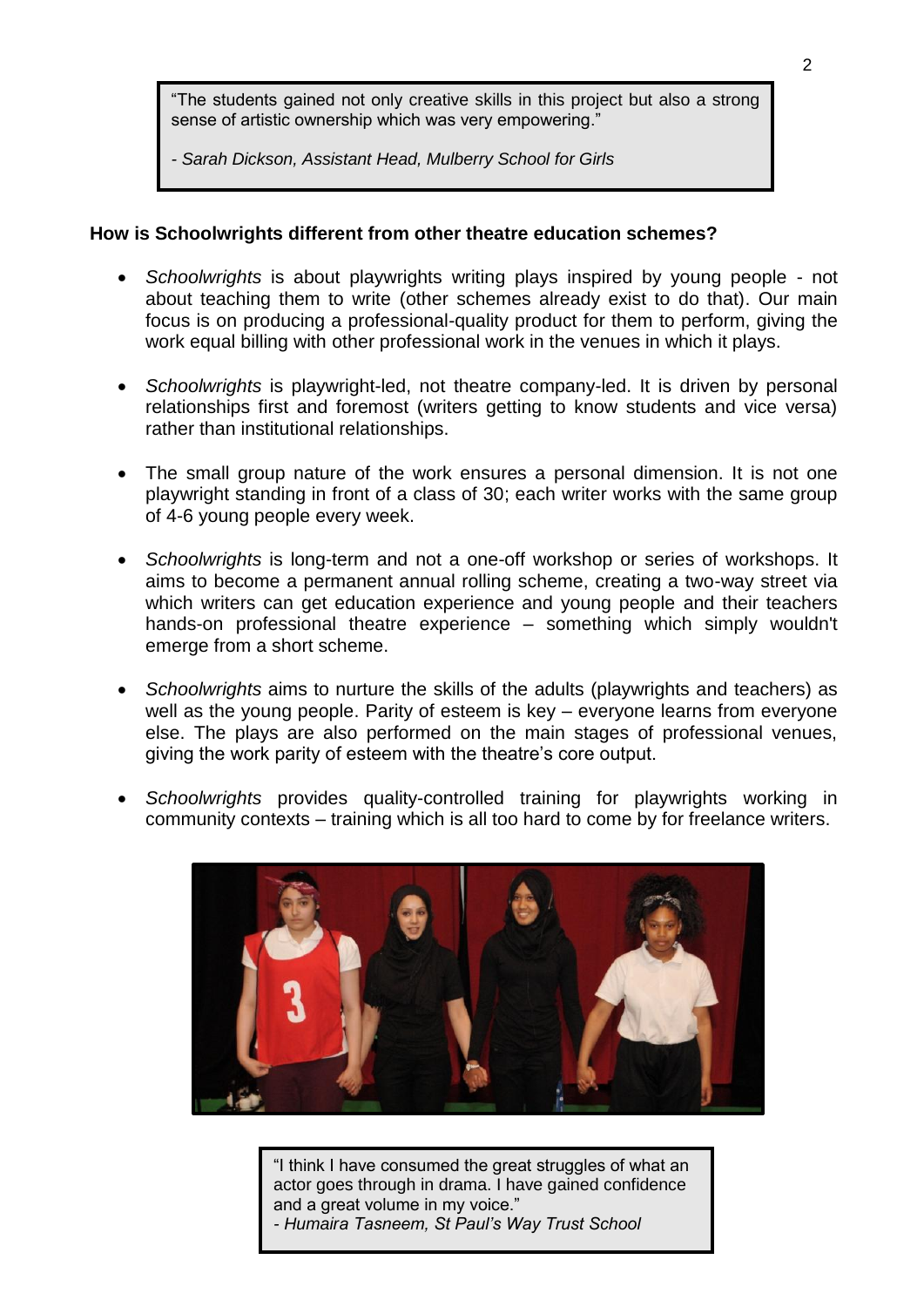"The students gained not only creative skills in this project but also a strong sense of artistic ownership which was very empowering."

*- Sarah Dickson, Assistant Head, Mulberry School for Girls*

#### **How is Schoolwrights different from other theatre education schemes?**

- *Schoolwrights* is about playwrights writing plays inspired by young people not about teaching them to write (other schemes already exist to do that). Our main focus is on producing a professional-quality product for them to perform, giving the work equal billing with other professional work in the venues in which it plays.
- *Schoolwrights* is playwright-led, not theatre company-led. It is driven by personal relationships first and foremost (writers getting to know students and vice versa) rather than institutional relationships.
- The small group nature of the work ensures a personal dimension. It is not one playwright standing in front of a class of 30; each writer works with the same group of 4-6 young people every week.
- *Schoolwrights* is long-term and not a one-off workshop or series of workshops. It aims to become a permanent annual rolling scheme, creating a two-way street via which writers can get education experience and young people and their teachers hands-on professional theatre experience – something which simply wouldn't emerge from a short scheme.
- *Schoolwrights* aims to nurture the skills of the adults (playwrights and teachers) as well as the young people. Parity of esteem is key – everyone learns from everyone else. The plays are also performed on the main stages of professional venues, giving the work parity of esteem with the theatre's core output.
- *Schoolwrights* provides quality-controlled training for playwrights working in community contexts – training which is all too hard to come by for freelance writers.



"I think I have consumed the great struggles of what an actor goes through in drama. I have gained confidence and a great volume in my voice."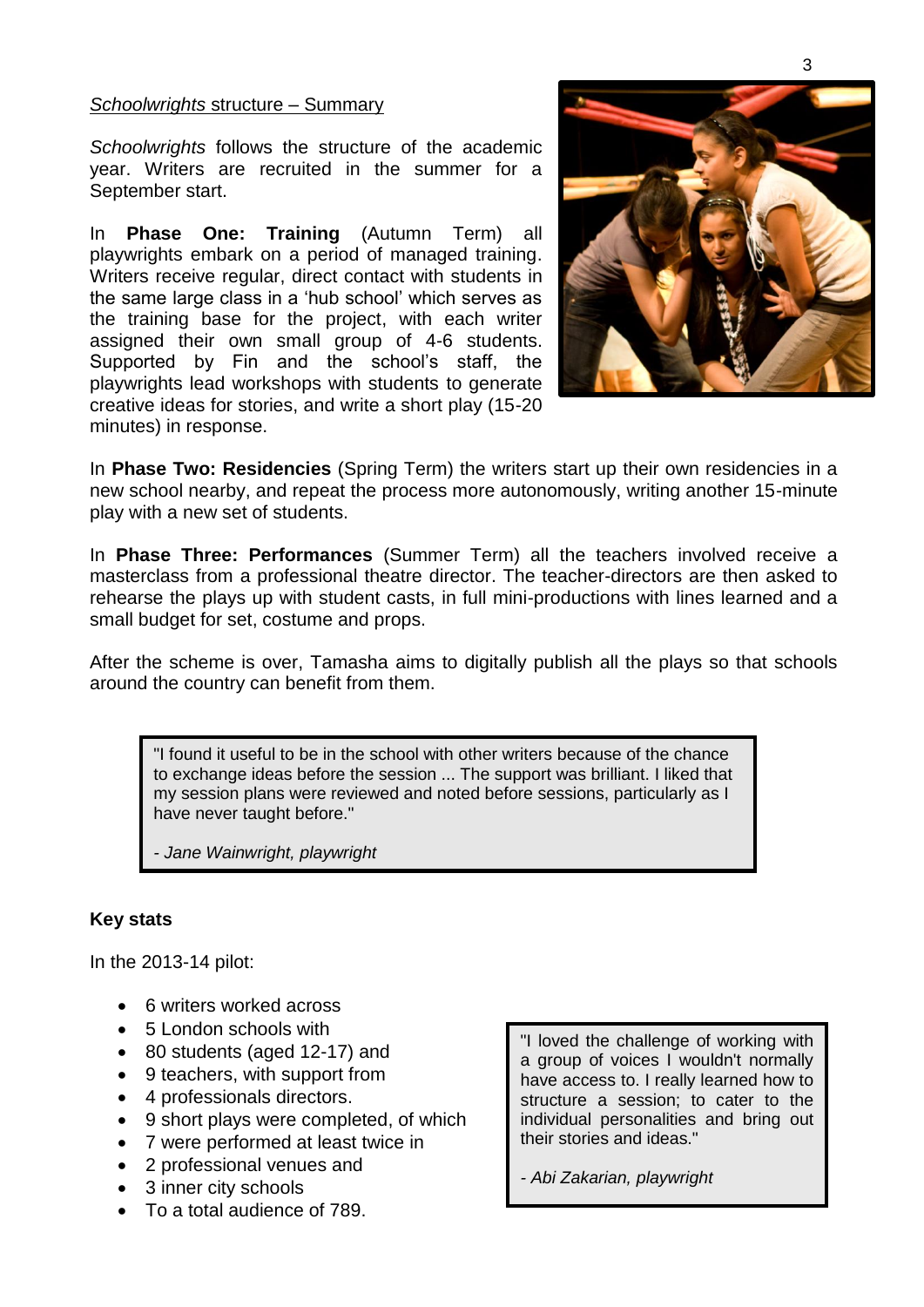#### *Schoolwrights* structure – Summary

*Schoolwrights* follows the structure of the academic year. Writers are recruited in the summer for a September start.

In **Phase One: Training** (Autumn Term) all playwrights embark on a period of managed training. Writers receive regular, direct contact with students in the same large class in a 'hub school' which serves as the training base for the project, with each writer assigned their own small group of 4-6 students. Supported by Fin and the school's staff, the playwrights lead workshops with students to generate creative ideas for stories, and write a short play (15-20 minutes) in response.



In **Phase Two: Residencies** (Spring Term) the writers start up their own residencies in a new school nearby, and repeat the process more autonomously, writing another 15-minute play with a new set of students.

In **Phase Three: Performances** (Summer Term) all the teachers involved receive a masterclass from a professional theatre director. The teacher-directors are then asked to rehearse the plays up with student casts, in full mini-productions with lines learned and a small budget for set, costume and props.

After the scheme is over, Tamasha aims to digitally publish all the plays so that schools around the country can benefit from them.

"I found it useful to be in the school with other writers because of the chance to exchange ideas before the session ... The support was brilliant. I liked that my session plans were reviewed and noted before sessions, particularly as I have never taught before."

*- Jane Wainwright, playwright*

## **Key stats**

In the 2013-14 pilot:

- 6 writers worked across
- 5 London schools with
- 80 students (aged 12-17) and
- 9 teachers, with support from
- 4 professionals directors.
- 9 short plays were completed, of which
- 7 were performed at least twice in
- 2 professional venues and
- 3 inner city schools
- To a total audience of 789.

"I loved the challenge of working with a group of voices I wouldn't normally have access to. I really learned how to structure a session; to cater to the individual personalities and bring out their stories and ideas."

*- Abi Zakarian, playwright*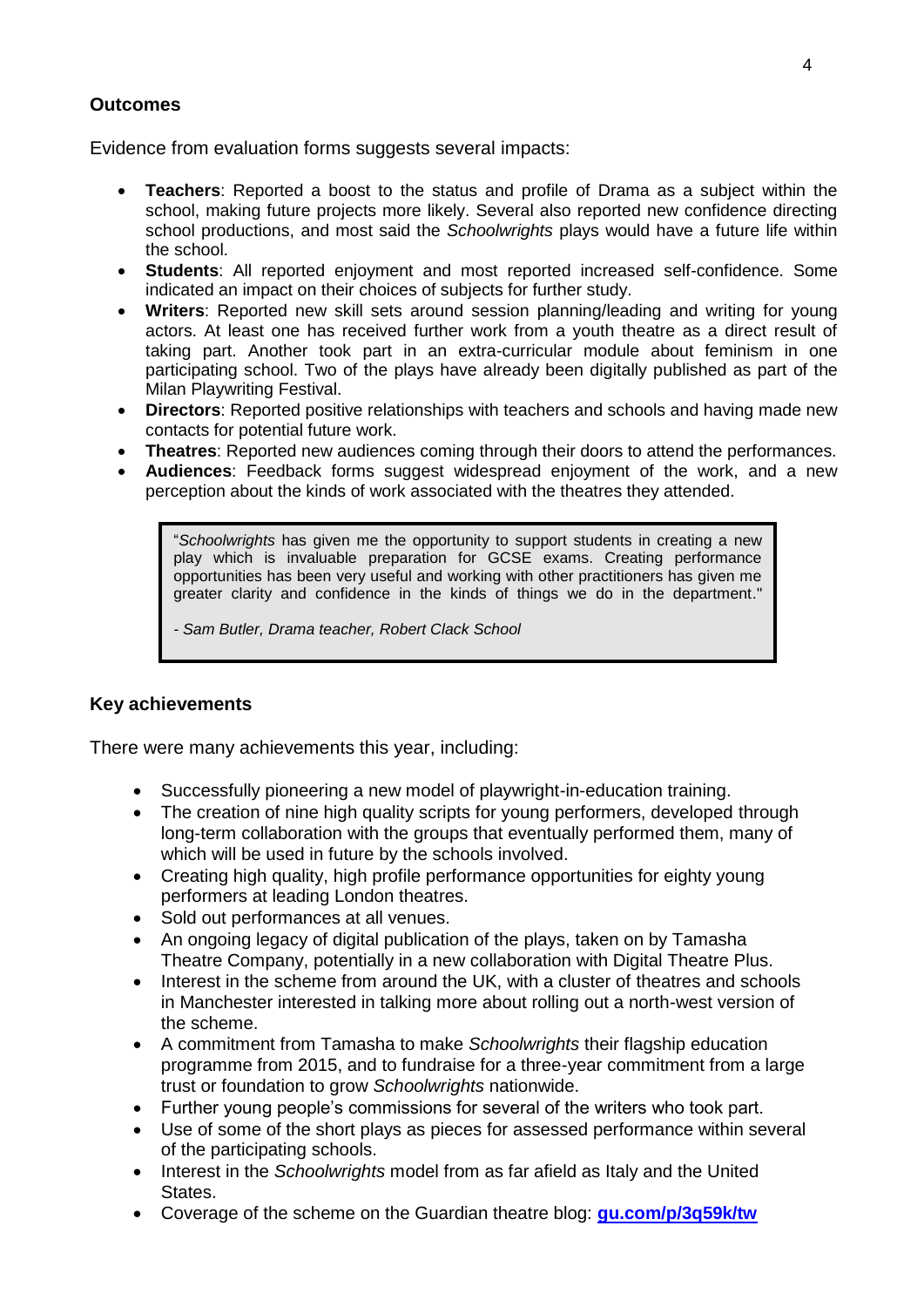## **Outcomes**

Evidence from evaluation forms suggests several impacts:

- **Teachers**: Reported a boost to the status and profile of Drama as a subject within the school, making future projects more likely. Several also reported new confidence directing school productions, and most said the *Schoolwrights* plays would have a future life within the school.
- **Students**: All reported enjoyment and most reported increased self-confidence. Some indicated an impact on their choices of subjects for further study.
- **Writers**: Reported new skill sets around session planning/leading and writing for young actors. At least one has received further work from a youth theatre as a direct result of taking part. Another took part in an extra-curricular module about feminism in one participating school. Two of the plays have already been digitally published as part of the Milan Playwriting Festival.
- **Directors**: Reported positive relationships with teachers and schools and having made new contacts for potential future work.
- **Theatres**: Reported new audiences coming through their doors to attend the performances.
- **Audiences**: Feedback forms suggest widespread enjoyment of the work, and a new perception about the kinds of work associated with the theatres they attended.

"*Schoolwrights* has given me the opportunity to support students in creating a new play which is invaluable preparation for GCSE exams. Creating performance opportunities has been very useful and working with other practitioners has given me greater clarity and confidence in the kinds of things we do in the department."

*- Sam Butler, Drama teacher, Robert Clack School*

### **Key achievements**

There were many achievements this year, including:

- Successfully pioneering a new model of playwright-in-education training.
- The creation of nine high quality scripts for young performers, developed through long-term collaboration with the groups that eventually performed them, many of which will be used in future by the schools involved.
- Creating high quality, high profile performance opportunities for eighty young performers at leading London theatres.
- Sold out performances at all venues.
- An ongoing legacy of digital publication of the plays, taken on by Tamasha Theatre Company, potentially in a new collaboration with Digital Theatre Plus.
- Interest in the scheme from around the UK, with a cluster of theatres and schools in Manchester interested in talking more about rolling out a north-west version of the scheme.
- A commitment from Tamasha to make *Schoolwrights* their flagship education programme from 2015, and to fundraise for a three-year commitment from a large trust or foundation to grow *Schoolwrights* nationwide.
- Further young people's commissions for several of the writers who took part.
- Use of some of the short plays as pieces for assessed performance within several of the participating schools.
- Interest in the *Schoolwrights* model from as far afield as Italy and the United States.
- Coverage of the scheme on the Guardian theatre blog: **[gu.com/p/3q59k/tw](file:///C:/Users/fin/Documents/Tamasha%20office/Schoolwrights/2015%20planning/gu.com/p/3q59k/tw)**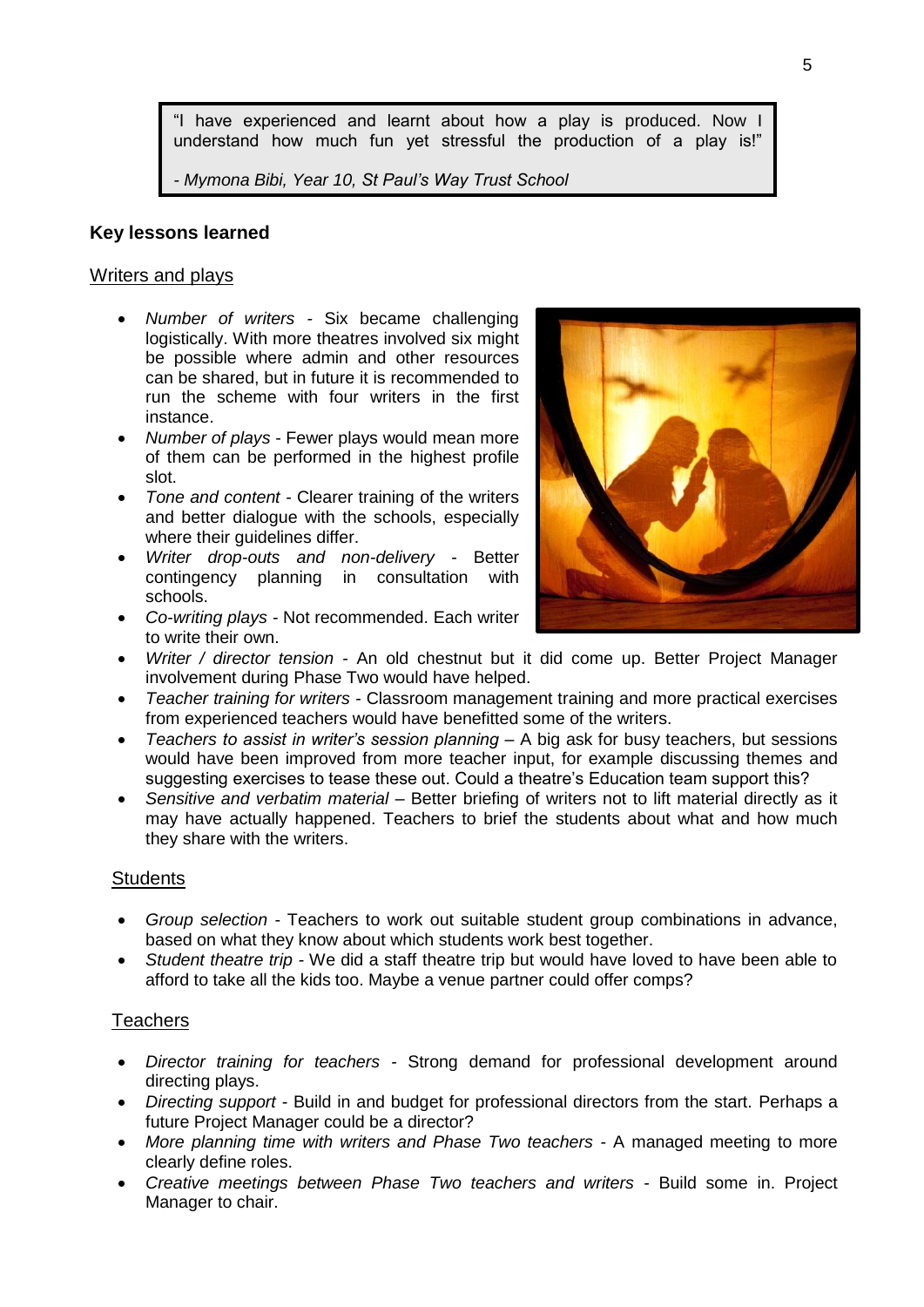"I have experienced and learnt about how a play is produced. Now I understand how much fun yet stressful the production of a play is!"

*- Mymona Bibi, Year 10, St Paul's Way Trust School*

#### **Key lessons learned**

#### Writers and plays

- *Number of writers -* Six became challenging logistically. With more theatres involved six might be possible where admin and other resources can be shared, but in future it is recommended to run the scheme with four writers in the first instance.
- *Number of plays -* Fewer plays would mean more of them can be performed in the highest profile slot.
- *Tone and content -* Clearer training of the writers and better dialogue with the schools, especially where their quidelines differ.
- *Writer drop-outs and non-delivery -* Better contingency planning in consultation with schools.
- *Co-writing plays -* Not recommended. Each writer to write their own.



- *Writer / director tension -* An old chestnut but it did come up. Better Project Manager involvement during Phase Two would have helped.
- *Teacher training for writers -* Classroom management training and more practical exercises from experienced teachers would have benefitted some of the writers.
- *Teachers to assist in writer's session planning –* A big ask for busy teachers, but sessions would have been improved from more teacher input, for example discussing themes and suggesting exercises to tease these out. Could a theatre's Education team support this?
- *Sensitive and verbatim material –* Better briefing of writers not to lift material directly as it may have actually happened. Teachers to brief the students about what and how much they share with the writers.

### **Students**

- *Group selection -* Teachers to work out suitable student group combinations in advance, based on what they know about which students work best together.
- *Student theatre trip -* We did a staff theatre trip but would have loved to have been able to afford to take all the kids too. Maybe a venue partner could offer comps?

#### **Teachers**

- *Director training for teachers -* Strong demand for professional development around directing plays.
- *Directing support -* Build in and budget for professional directors from the start. Perhaps a future Project Manager could be a director?
- *More planning time with writers and Phase Two teachers -* A managed meeting to more clearly define roles.
- *Creative meetings between Phase Two teachers and writers -* Build some in. Project Manager to chair.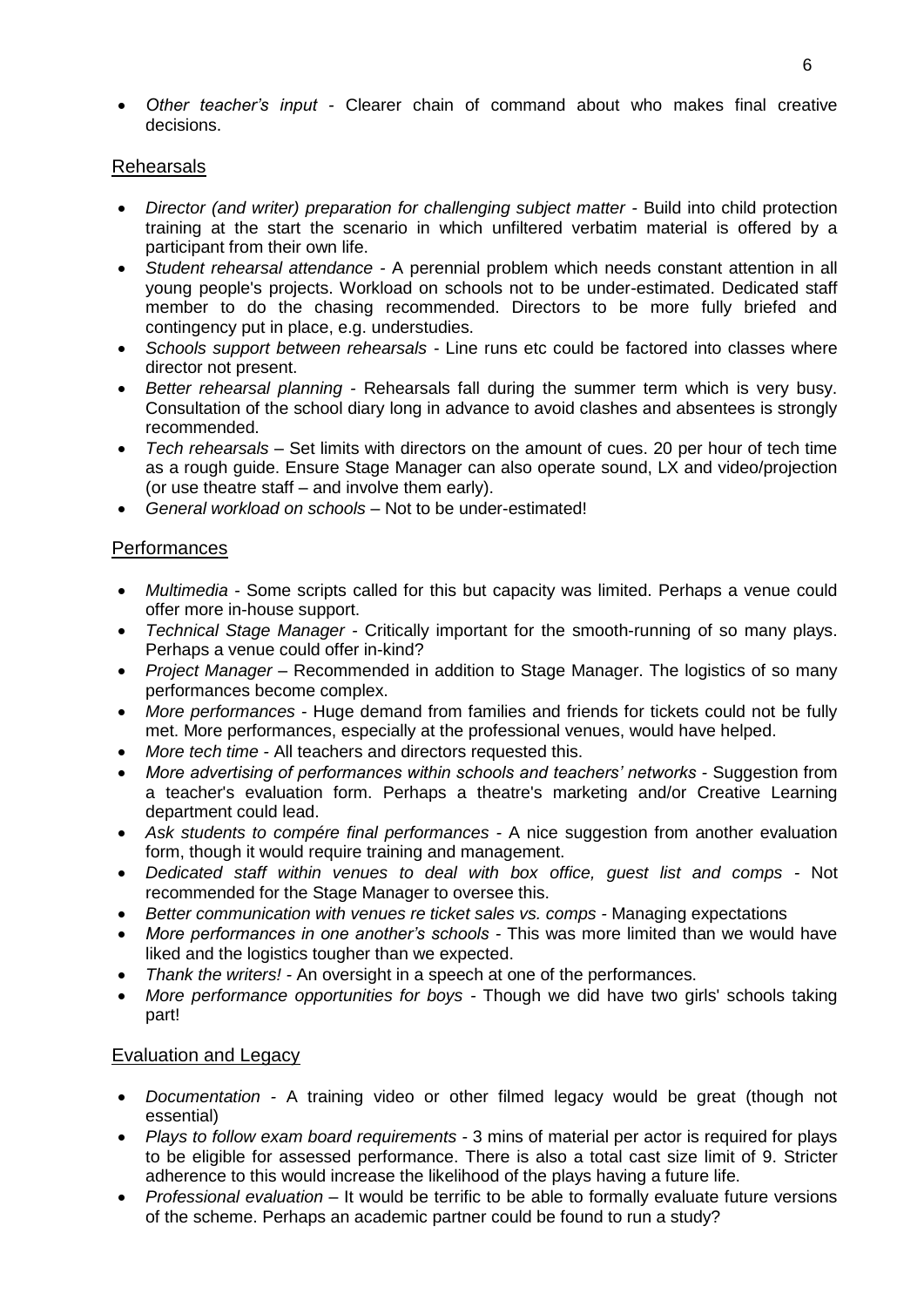*Other teacher's input -* Clearer chain of command about who makes final creative decisions.

### Rehearsals

- *Director (and writer) preparation for challenging subject matter -* Build into child protection training at the start the scenario in which unfiltered verbatim material is offered by a participant from their own life.
- *Student rehearsal attendance -* A perennial problem which needs constant attention in all young people's projects. Workload on schools not to be under-estimated. Dedicated staff member to do the chasing recommended. Directors to be more fully briefed and contingency put in place, e.g. understudies.
- *Schools support between rehearsals -* Line runs etc could be factored into classes where director not present.
- *Better rehearsal planning -* Rehearsals fall during the summer term which is very busy. Consultation of the school diary long in advance to avoid clashes and absentees is strongly recommended.
- *Tech rehearsals –* Set limits with directors on the amount of cues. 20 per hour of tech time as a rough guide. Ensure Stage Manager can also operate sound, LX and video/projection (or use theatre staff – and involve them early).
- *General workload on schools –* Not to be under-estimated!

#### Performances

- *Multimedia -* Some scripts called for this but capacity was limited. Perhaps a venue could offer more in-house support.
- *Technical Stage Manager -* Critically important for the smooth-running of so many plays. Perhaps a venue could offer in-kind?
- Project Manager Recommended in addition to Stage Manager. The logistics of so many performances become complex.
- *More performances -* Huge demand from families and friends for tickets could not be fully met. More performances, especially at the professional venues, would have helped.
- *More tech time -* All teachers and directors requested this.
- *More advertising of performances within schools and teachers' networks -* Suggestion from a teacher's evaluation form. Perhaps a theatre's marketing and/or Creative Learning department could lead.
- *Ask students to compére final performances -* A nice suggestion from another evaluation form, though it would require training and management.
- *Dedicated staff within venues to deal with box office, guest list and comps -* Not recommended for the Stage Manager to oversee this.
- *Better communication with venues re ticket sales vs. comps -* Managing expectations
- *More performances in one another's schools -* This was more limited than we would have liked and the logistics tougher than we expected.
- *Thank the writers! -* An oversight in a speech at one of the performances.
- *More performance opportunities for boys -* Though we did have two girls' schools taking part!

### Evaluation and Legacy

- *Documentation -* A training video or other filmed legacy would be great (though not essential)
- *Plays to follow exam board requirements -* 3 mins of material per actor is required for plays to be eligible for assessed performance. There is also a total cast size limit of 9. Stricter adherence to this would increase the likelihood of the plays having a future life.
- *Professional evaluation –* It would be terrific to be able to formally evaluate future versions of the scheme. Perhaps an academic partner could be found to run a study?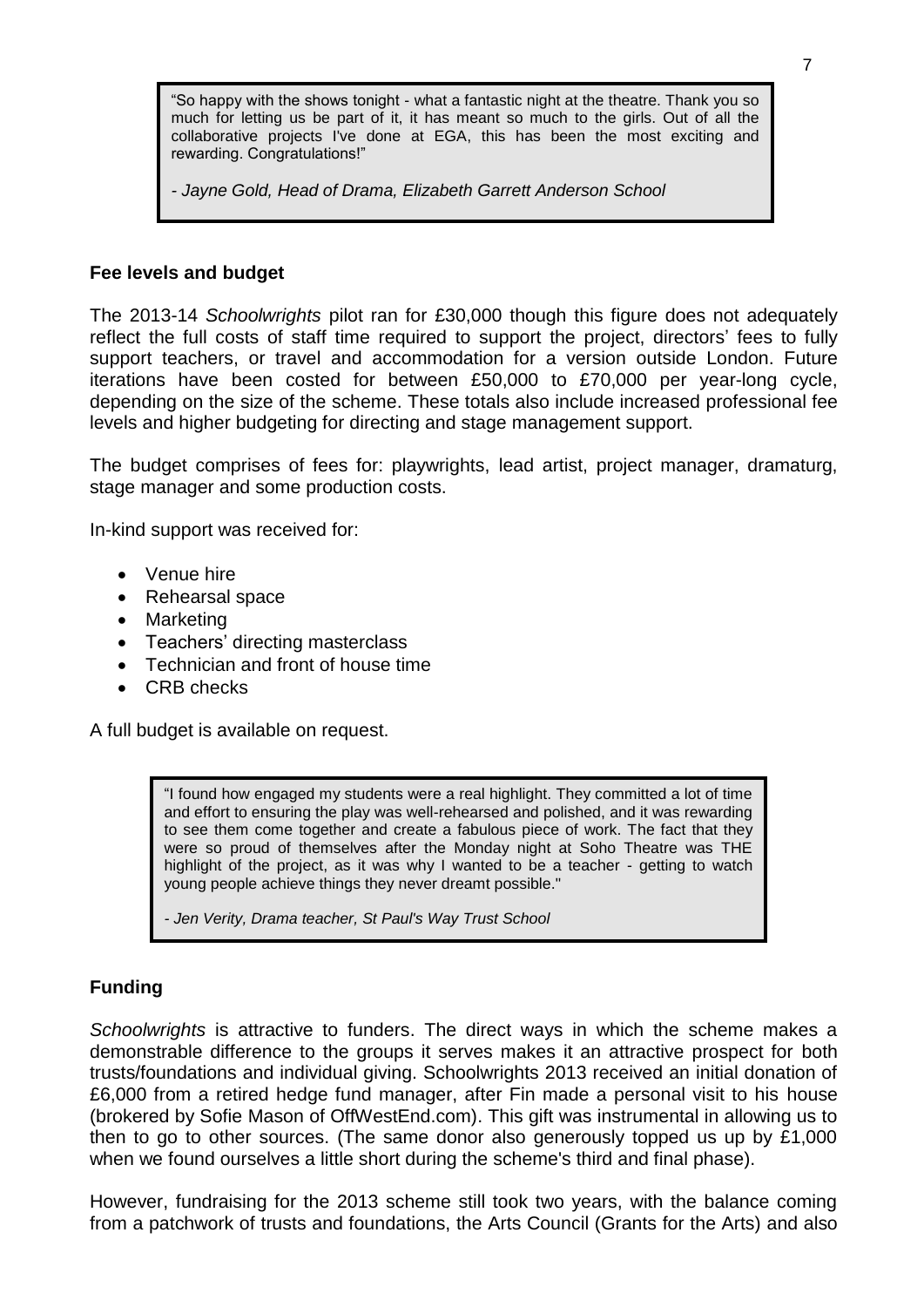"So happy with the shows tonight - what a fantastic night at the theatre. Thank you so much for letting us be part of it, it has meant so much to the girls. Out of all the collaborative projects I've done at EGA, this has been the most exciting and rewarding. Congratulations!"

*- Jayne Gold, Head of Drama, Elizabeth Garrett Anderson School*

#### **Fee levels and budget**

The 2013-14 *Schoolwrights* pilot ran for £30,000 though this figure does not adequately reflect the full costs of staff time required to support the project, directors' fees to fully support teachers, or travel and accommodation for a version outside London. Future iterations have been costed for between £50,000 to £70,000 per year-long cycle, depending on the size of the scheme. These totals also include increased professional fee levels and higher budgeting for directing and stage management support.

The budget comprises of fees for: playwrights, lead artist, project manager, dramaturg, stage manager and some production costs.

In-kind support was received for:

- Venue hire
- Rehearsal space
- Marketing
- Teachers' directing masterclass
- Technician and front of house time
- CRB checks

A full budget is available on request.

"I found how engaged my students were a real highlight. They committed a lot of time and effort to ensuring the play was well-rehearsed and polished, and it was rewarding to see them come together and create a fabulous piece of work. The fact that they were so proud of themselves after the Monday night at Soho Theatre was THE highlight of the project, as it was why I wanted to be a teacher - getting to watch young people achieve things they never dreamt possible."

*- Jen Verity, Drama teacher, St Paul's Way Trust School*

### **Funding**

*Schoolwrights* is attractive to funders. The direct ways in which the scheme makes a demonstrable difference to the groups it serves makes it an attractive prospect for both trusts/foundations and individual giving. Schoolwrights 2013 received an initial donation of £6,000 from a retired hedge fund manager, after Fin made a personal visit to his house (brokered by Sofie Mason of OffWestEnd.com). This gift was instrumental in allowing us to then to go to other sources. (The same donor also generously topped us up by £1,000 when we found ourselves a little short during the scheme's third and final phase).

However, fundraising for the 2013 scheme still took two years, with the balance coming from a patchwork of trusts and foundations, the Arts Council (Grants for the Arts) and also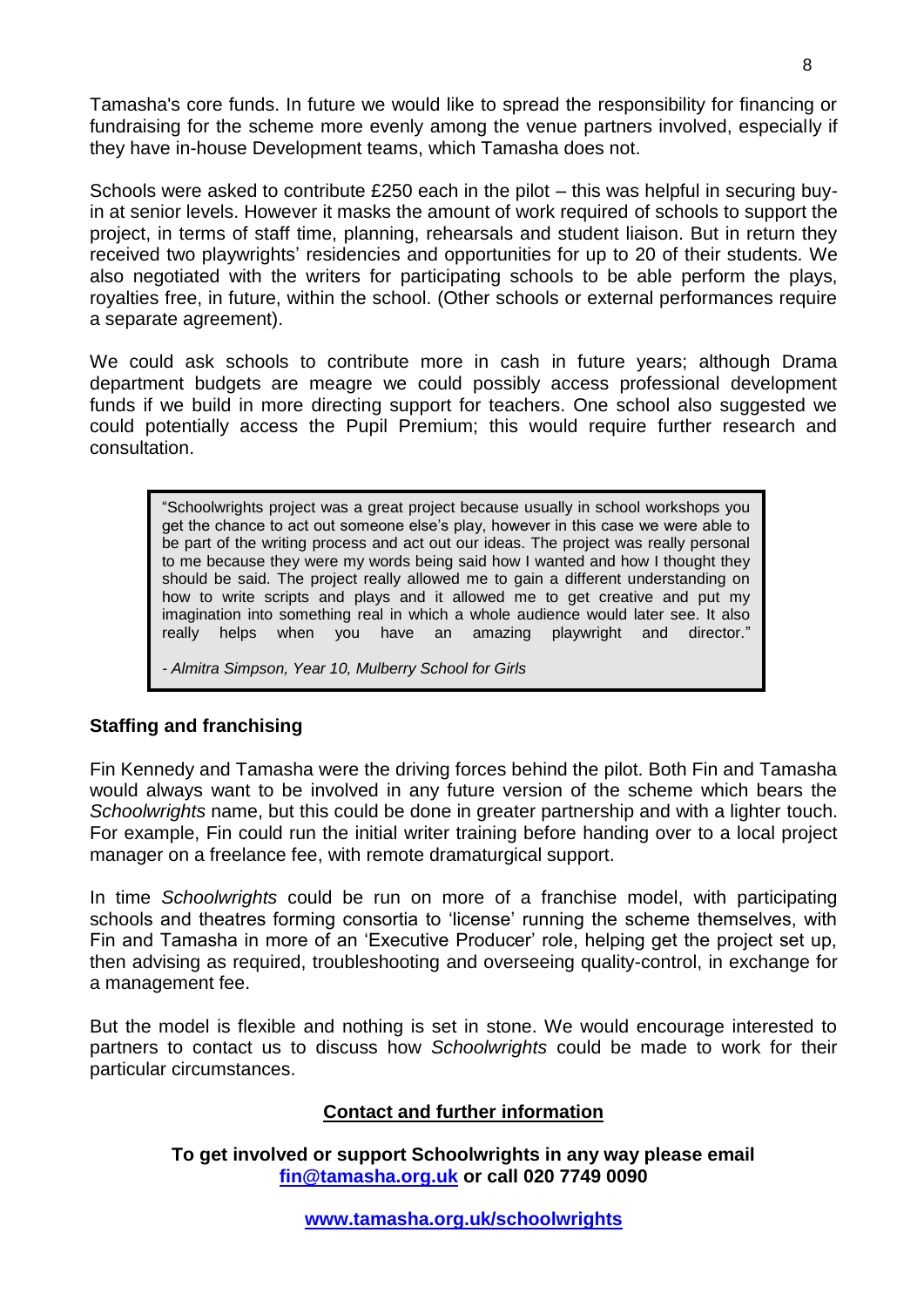Tamasha's core funds. In future we would like to spread the responsibility for financing or fundraising for the scheme more evenly among the venue partners involved, especially if they have in-house Development teams, which Tamasha does not.

Schools were asked to contribute £250 each in the pilot – this was helpful in securing buyin at senior levels. However it masks the amount of work required of schools to support the project, in terms of staff time, planning, rehearsals and student liaison. But in return they received two playwrights' residencies and opportunities for up to 20 of their students. We also negotiated with the writers for participating schools to be able perform the plays, royalties free, in future, within the school. (Other schools or external performances require a separate agreement).

We could ask schools to contribute more in cash in future years; although Drama department budgets are meagre we could possibly access professional development funds if we build in more directing support for teachers. One school also suggested we could potentially access the Pupil Premium; this would require further research and consultation.

"Schoolwrights project was a great project because usually in school workshops you get the chance to act out someone else's play, however in this case we were able to be part of the writing process and act out our ideas. The project was really personal to me because they were my words being said how I wanted and how I thought they should be said. The project really allowed me to gain a different understanding on how to write scripts and plays and it allowed me to get creative and put my imagination into something real in which a whole audience would later see. It also really helps when you have an amazing playwright and director."

*- Almitra Simpson, Year 10, Mulberry School for Girls*

### **Staffing and franchising**

Fin Kennedy and Tamasha were the driving forces behind the pilot. Both Fin and Tamasha would always want to be involved in any future version of the scheme which bears the *Schoolwrights* name, but this could be done in greater partnership and with a lighter touch. For example, Fin could run the initial writer training before handing over to a local project manager on a freelance fee, with remote dramaturgical support.

In time *Schoolwrights* could be run on more of a franchise model, with participating schools and theatres forming consortia to 'license' running the scheme themselves, with Fin and Tamasha in more of an 'Executive Producer' role, helping get the project set up, then advising as required, troubleshooting and overseeing quality-control, in exchange for a management fee.

But the model is flexible and nothing is set in stone. We would encourage interested to partners to contact us to discuss how *Schoolwrights* could be made to work for their particular circumstances.

### **Contact and further information**

**To get involved or support Schoolwrights in any way please email [fin@tamasha.org.uk](mailto:fin@tamasha.org.uk) or call 020 7749 0090**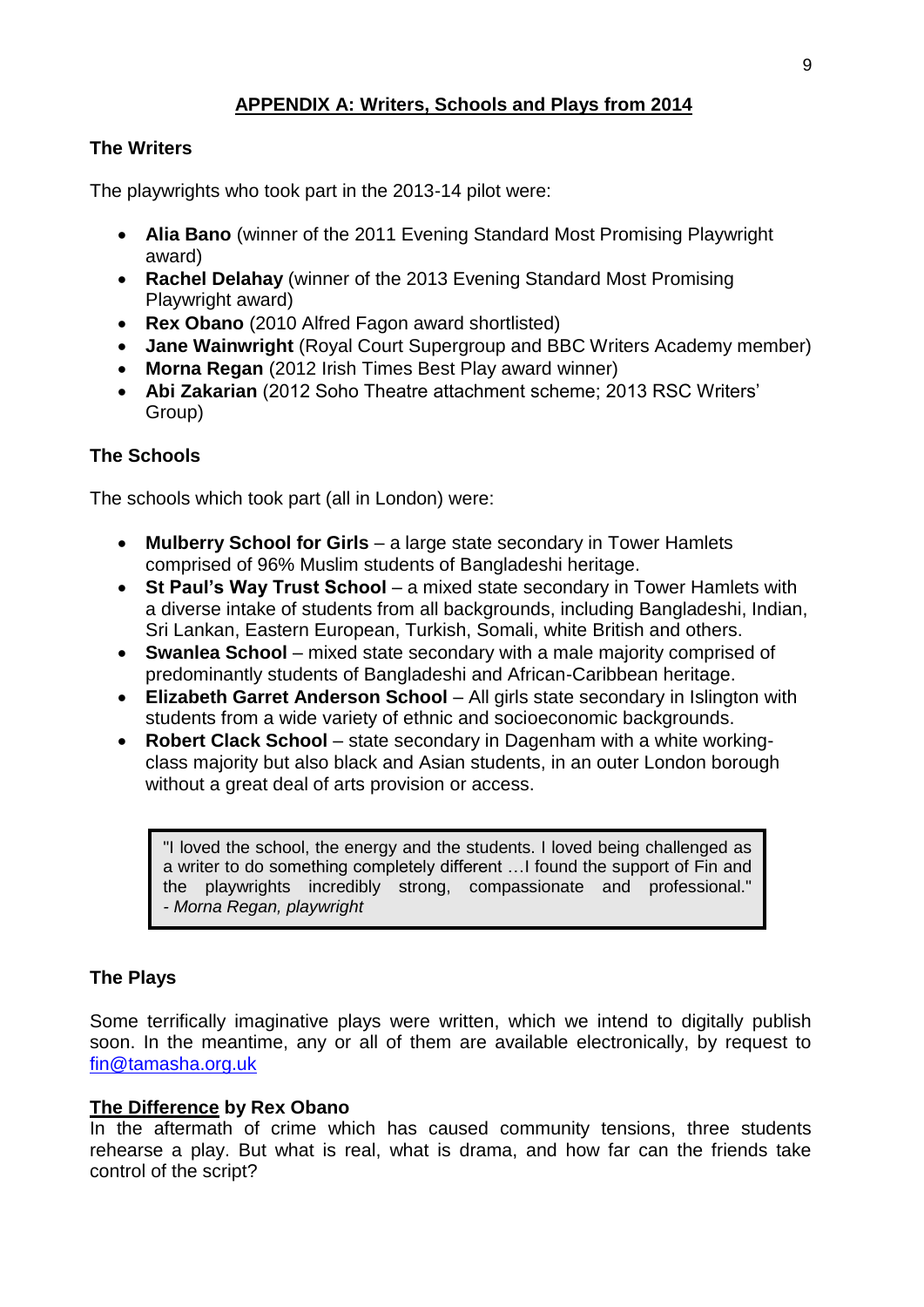# **APPENDIX A: Writers, Schools and Plays from 2014**

## **The Writers**

The playwrights who took part in the 2013-14 pilot were:

- **Alia Bano** (winner of the 2011 Evening Standard Most Promising Playwright award)
- **Rachel Delahay** (winner of the 2013 Evening Standard Most Promising Playwright award)
- **Rex Obano** (2010 Alfred Fagon award shortlisted)
- **Jane Wainwright** (Royal Court Supergroup and BBC Writers Academy member)
- **Morna Regan** (2012 Irish Times Best Play award winner)
- **Abi Zakarian** (2012 Soho Theatre attachment scheme; 2013 RSC Writers' Group)

# **The Schools**

The schools which took part (all in London) were:

- **Mulberry School for Girls** a large state secondary in Tower Hamlets comprised of 96% Muslim students of Bangladeshi heritage.
- **St Paul's Way Trust School** a mixed state secondary in Tower Hamlets with a diverse intake of students from all backgrounds, including Bangladeshi, Indian, Sri Lankan, Eastern European, Turkish, Somali, white British and others.
- **Swanlea School** mixed state secondary with a male majority comprised of predominantly students of Bangladeshi and African-Caribbean heritage.
- **Elizabeth Garret Anderson School**  All girls state secondary in Islington with students from a wide variety of ethnic and socioeconomic backgrounds.
- **Robert Clack School**  state secondary in Dagenham with a white workingclass majority but also black and Asian students, in an outer London borough without a great deal of arts provision or access.

"I loved the school, the energy and the students. I loved being challenged as a writer to do something completely different …I found the support of Fin and the playwrights incredibly strong, compassionate and professional." *- Morna Regan, playwright*

## **The Plays**

Some terrifically imaginative plays were written, which we intend to digitally publish soon. In the meantime, any or all of them are available electronically, by request to [fin@tamasha.org.uk](mailto:fin@tamasha.org.uk)

### **The Difference by Rex Obano**

In the aftermath of crime which has caused community tensions, three students rehearse a play. But what is real, what is drama, and how far can the friends take control of the script?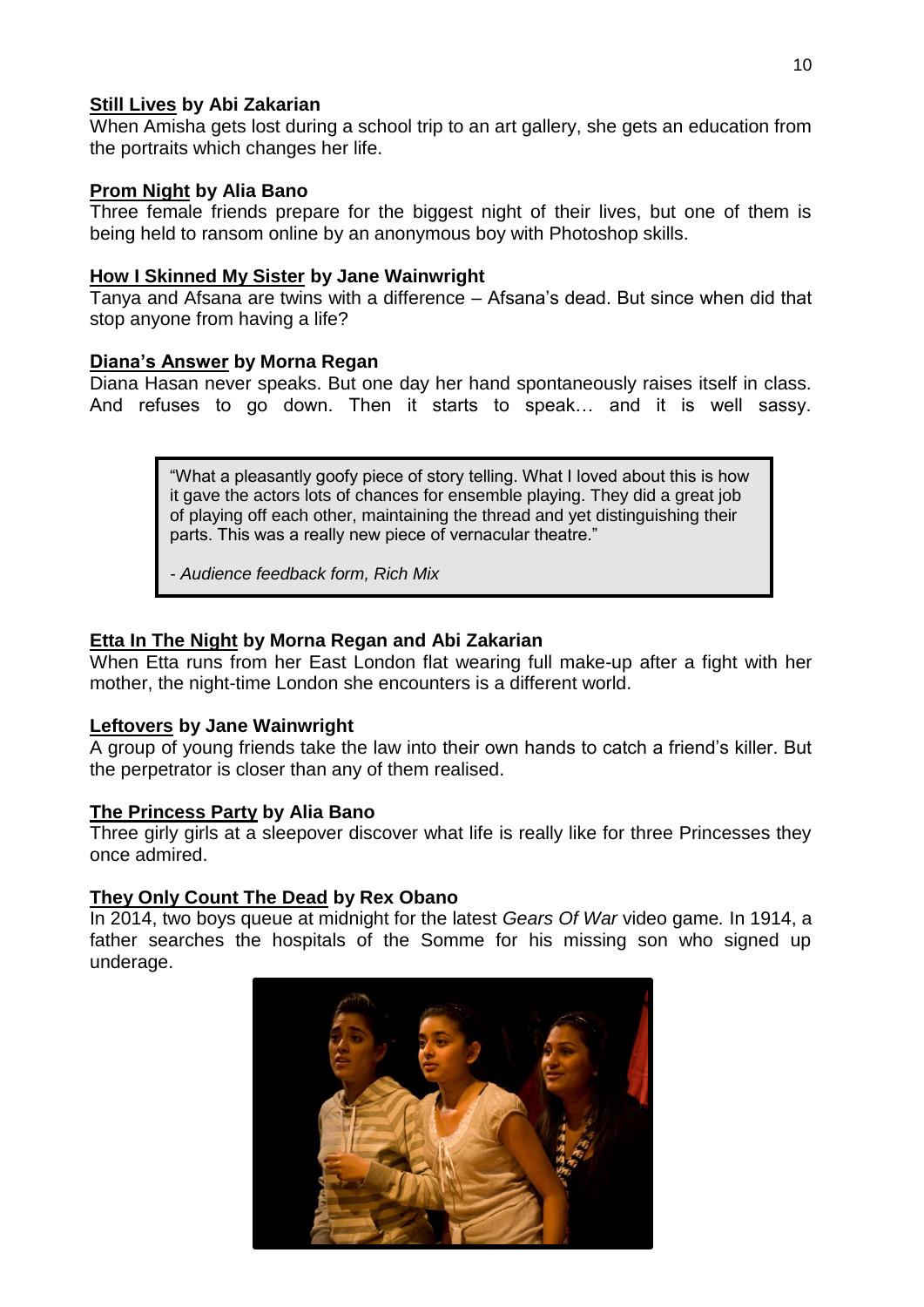## **Still Lives by Abi Zakarian**

When Amisha gets lost during a school trip to an art gallery, she gets an education from the portraits which changes her life.

## **Prom Night by Alia Bano**

Three female friends prepare for the biggest night of their lives, but one of them is being held to ransom online by an anonymous boy with Photoshop skills.

## **How I Skinned My Sister by Jane Wainwright**

Tanya and Afsana are twins with a difference – Afsana's dead. But since when did that stop anyone from having a life?

## **Diana's Answer by Morna Regan**

Diana Hasan never speaks. But one day her hand spontaneously raises itself in class. And refuses to go down. Then it starts to speak… and it is well sassy.

> "What a pleasantly goofy piece of story telling. What I loved about this is how it gave the actors lots of chances for ensemble playing. They did a great job of playing off each other, maintaining the thread and yet distinguishing their parts. This was a really new piece of vernacular theatre."

*- Audience feedback form, Rich Mix*

## **Etta In The Night by Morna Regan and Abi Zakarian**

When Etta runs from her East London flat wearing full make-up after a fight with her mother, the night-time London she encounters is a different world.

### **Leftovers by Jane Wainwright**

A group of young friends take the law into their own hands to catch a friend's killer. But the perpetrator is closer than any of them realised.

## **The Princess Party by Alia Bano**

Three girly girls at a sleepover discover what life is really like for three Princesses they once admired.

### **They Only Count The Dead by Rex Obano**

In 2014, two boys queue at midnight for the latest *Gears Of War* video game*.* In 1914, a father searches the hospitals of the Somme for his missing son who signed up underage.